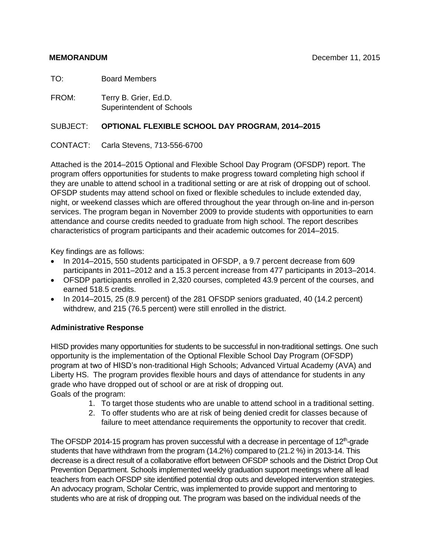TO: Board Members

FROM: Terry B. Grier, Ed.D. Superintendent of Schools

### SUBJECT: **OPTIONAL FLEXIBLE SCHOOL DAY PROGRAM, 2014–2015**

### CONTACT: Carla Stevens, 713-556-6700

Attached is the 2014–2015 Optional and Flexible School Day Program (OFSDP) report. The program offers opportunities for students to make progress toward completing high school if they are unable to attend school in a traditional setting or are at risk of dropping out of school. OFSDP students may attend school on fixed or flexible schedules to include extended day, night, or weekend classes which are offered throughout the year through on-line and in-person services. The program began in November 2009 to provide students with opportunities to earn attendance and course credits needed to graduate from high school. The report describes characteristics of program participants and their academic outcomes for 2014–2015.

Key findings are as follows:

- In 2014–2015, 550 students participated in OFSDP, a 9.7 percent decrease from 609 participants in 2011–2012 and a 15.3 percent increase from 477 participants in 2013–2014.
- OFSDP participants enrolled in 2,320 courses, completed 43.9 percent of the courses, and earned 518.5 credits.
- In 2014–2015, 25 (8.9 percent) of the 281 OFSDP seniors graduated, 40 (14.2 percent) withdrew, and 215 (76.5 percent) were still enrolled in the district.

## **Administrative Response**

HISD provides many opportunities for students to be successful in non-traditional settings. One such opportunity is the implementation of the Optional Flexible School Day Program (OFSDP) program at two of HISD's non-traditional High Schools; Advanced Virtual Academy (AVA) and Liberty HS. The program provides flexible hours and days of attendance for students in any grade who have dropped out of school or are at risk of dropping out. Goals of the program:

- 1. To target those students who are unable to attend school in a traditional setting.
- 2. To offer students who are at risk of being denied credit for classes because of failure to meet attendance requirements the opportunity to recover that credit.

The OFSDP 2014-15 program has proven successful with a decrease in percentage of 12<sup>th</sup>-grade students that have withdrawn from the program (14.2%) compared to (21.2 %) in 2013-14. This decrease is a direct result of a collaborative effort between OFSDP schools and the District Drop Out Prevention Department. Schools implemented weekly graduation support meetings where all lead teachers from each OFSDP site identified potential drop outs and developed intervention strategies. An advocacy program, Scholar Centric, was implemented to provide support and mentoring to students who are at risk of dropping out. The program was based on the individual needs of the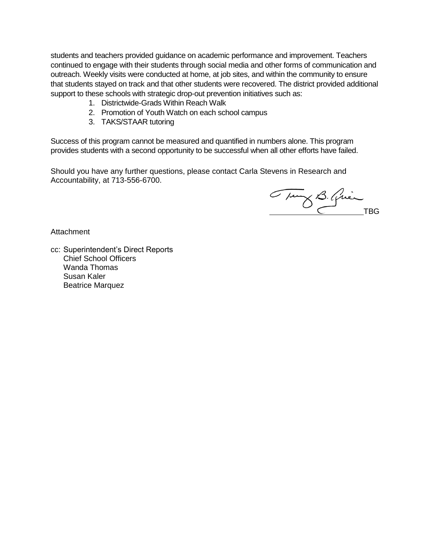students and teachers provided guidance on academic performance and improvement. Teachers continued to engage with their students through social media and other forms of communication and outreach. Weekly visits were conducted at home, at job sites, and within the community to ensure that students stayed on track and that other students were recovered. The district provided additional support to these schools with strategic drop-out prevention initiatives such as:

- 1. Districtwide-Grads Within Reach Walk
- 2. Promotion of Youth Watch on each school campus
- 3. TAKS/STAAR tutoring

Success of this program cannot be measured and quantified in numbers alone. This program provides students with a second opportunity to be successful when all other efforts have failed.

Should you have any further questions, please contact Carla Stevens in Research and Accountability, at 713-556-6700.

Tung B. Quin

**Attachment** 

cc: Superintendent's Direct Reports Chief School Officers Wanda Thomas Susan Kaler Beatrice Marquez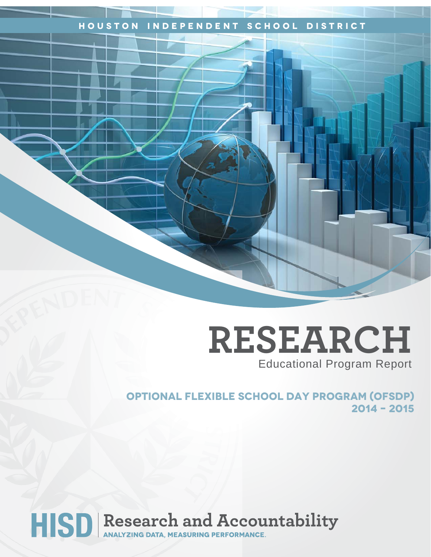## **Houston Independent School District**

## **RESEARCH** Educational Program Report

**OPTIONAL FLEXIBLE SCHOOL DAY PROGRAM (ofsdp) 2014 – 2015**

# HISD Research and Accountability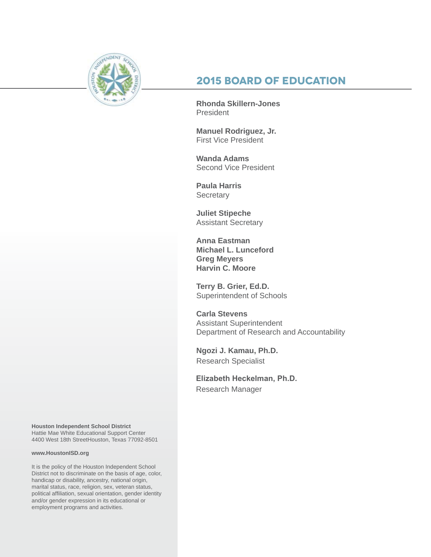

## **2015 Board of Education**

**Rhonda Skillern-Jones President** 

**Manuel Rodriguez, Jr.** First Vice President

**Wanda Adams** Second Vice President

**Paula Harris Secretary** 

**Juliet Stipeche** Assistant Secretary

**Anna Eastman Michael L. Lunceford Greg Meyers Harvin C. Moore**

**Terry B. Grier, Ed.D.** Superintendent of Schools

**Carla Stevens** Assistant Superintendent Department of Research and Accountability

**Ngozi J. Kamau, Ph.D.** Research Specialist

**Elizabeth Heckelman, Ph.D.**  Research Manager

**Houston Independent School District** Hattie Mae White Educational Support Center 4400 West 18th StreetHouston, Texas 77092-8501

#### **www.HoustonISD.org**

It is the policy of the Houston Independent School District not to discriminate on the basis of age, color, handicap or disability, ancestry, national origin, marital status, race, religion, sex, veteran status, political affiliation, sexual orientation, gender identity and/or gender expression in its educational or employment programs and activities.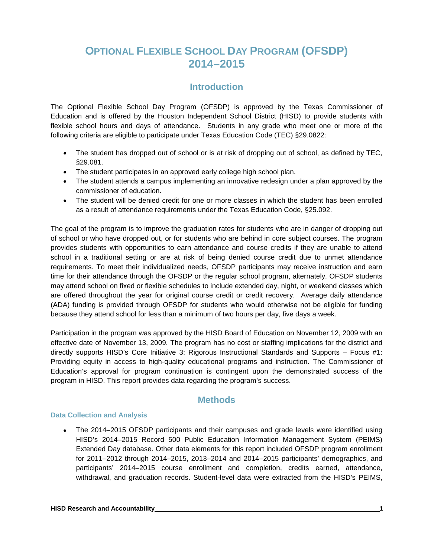## **OPTIONAL FLEXIBLE SCHOOL DAY PROGRAM (OFSDP) 2014–2015**

## **Introduction**

The Optional Flexible School Day Program (OFSDP) is approved by the Texas Commissioner of Education and is offered by the Houston Independent School District (HISD) to provide students with flexible school hours and days of attendance. Students in any grade who meet one or more of the following criteria are eligible to participate under Texas Education Code (TEC) §29.0822:

- The student has dropped out of school or is at risk of dropping out of school, as defined by TEC, §29.081.
- The student participates in an approved early college high school plan.
- The student attends a campus implementing an innovative redesign under a plan approved by the commissioner of education.
- The student will be denied credit for one or more classes in which the student has been enrolled as a result of attendance requirements under the Texas Education Code, §25.092.

The goal of the program is to improve the graduation rates for students who are in danger of dropping out of school or who have dropped out, or for students who are behind in core subject courses. The program provides students with opportunities to earn attendance and course credits if they are unable to attend school in a traditional setting or are at risk of being denied course credit due to unmet attendance requirements. To meet their individualized needs, OFSDP participants may receive instruction and earn time for their attendance through the OFSDP or the regular school program, alternately. OFSDP students may attend school on fixed or flexible schedules to include extended day, night, or weekend classes which are offered throughout the year for original course credit or credit recovery. Average daily attendance (ADA) funding is provided through OFSDP for students who would otherwise not be eligible for funding because they attend school for less than a minimum of two hours per day, five days a week.

Participation in the program was approved by the HISD Board of Education on November 12, 2009 with an effective date of November 13, 2009. The program has no cost or staffing implications for the district and directly supports HISD's Core Initiative 3: Rigorous Instructional Standards and Supports – Focus #1: Providing equity in access to high-quality educational programs and instruction. The Commissioner of Education's approval for program continuation is contingent upon the demonstrated success of the program in HISD. This report provides data regarding the program's success.

## **Methods**

#### **Data Collection and Analysis**

• The 2014–2015 OFSDP participants and their campuses and grade levels were identified using HISD's 2014–2015 Record 500 Public Education Information Management System (PEIMS) Extended Day database. Other data elements for this report included OFSDP program enrollment for 2011–2012 through 2014–2015, 2013–2014 and 2014–2015 participants' demographics, and participants' 2014–2015 course enrollment and completion, credits earned, attendance, withdrawal, and graduation records. Student-level data were extracted from the HISD's PEIMS,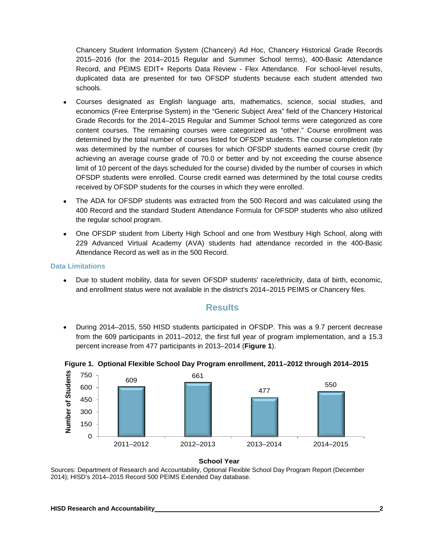Chancery Student Information System (Chancery) Ad Hoc, Chancery Historical Grade Records 2015–2016 (for the 2014–2015 Regular and Summer School terms), 400-Basic Attendance Record, and PEIMS EDIT+ Reports Data Review - Flex Attendance. For school-level results, duplicated data are presented for two OFSDP students because each student attended two schools.

- Courses designated as English language arts, mathematics, science, social studies, and economics (Free Enterprise System) in the "Generic Subject Area" field of the Chancery Historical Grade Records for the 2014–2015 Regular and Summer School terms were categorized as core content courses. The remaining courses were categorized as "other." Course enrollment was determined by the total number of courses listed for OFSDP students. The course completion rate was determined by the number of courses for which OFSDP students earned course credit (by achieving an average course grade of 70.0 or better and by not exceeding the course absence limit of 10 percent of the days scheduled for the course) divided by the number of courses in which OFSDP students were enrolled. Course credit earned was determined by the total course credits received by OFSDP students for the courses in which they were enrolled.
- The ADA for OFSDP students was extracted from the 500 Record and was calculated using the 400 Record and the standard Student Attendance Formula for OFSDP students who also utilized the regular school program.
- One OFSDP student from Liberty High School and one from Westbury High School, along with 229 Advanced Virtual Academy (AVA) students had attendance recorded in the 400-Basic Attendance Record as well as in the 500 Record.

#### **Data Limitations**

• Due to student mobility, data for seven OFSDP students' race/ethnicity, data of birth, economic, and enrollment status were not available in the district's 2014–2015 PEIMS or Chancery files.

#### **Results**

• During 2014–2015, 550 HISD students participated in OFSDP. This was a 9.7 percent decrease from the 609 participants in 2011–2012, the first full year of program implementation, and a 15.3 percent increase from 477 participants in 2013–2014 (**Figure 1**).



**Figure 1. Optional Flexible School Day Program enrollment, 2011–2012 through 2014–2015**

**School Year**

Sources: Department of Research and Accountability, Optional Flexible School Day Program Report (December 2014); HISD's 2014–2015 Record 500 PEIMS Extended Day database.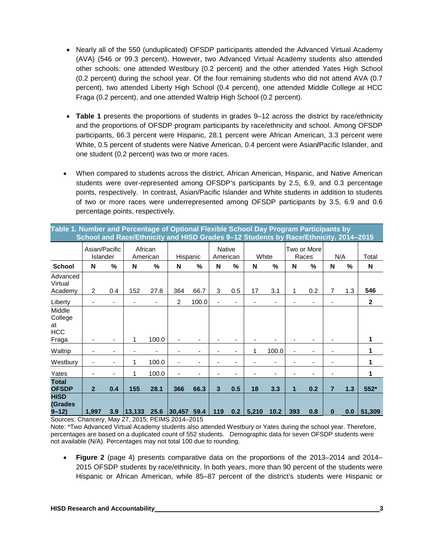- Nearly all of the 550 (unduplicated) OFSDP participants attended the Advanced Virtual Academy (AVA) (546 or 99.3 percent). However, two Advanced Virtual Academy students also attended other schools: one attended Westbury (0.2 percent) and the other attended Yates High School (0.2 percent) during the school year. Of the four remaining students who did not attend AVA (0.7 percent), two attended Liberty High School (0.4 percent), one attended Middle College at HCC Fraga (0.2 percent), and one attended Waltrip High School (0.2 percent).
- **Table 1** presents the proportions of students in grades 9–12 across the district by race/ethnicity and the proportions of OFSDP program participants by race/ethnicity and school. Among OFSDP participants, 66.3 percent were Hispanic, 28.1 percent were African American, 3.3 percent were White, 0.5 percent of students were Native American, 0.4 percent were Asian**/**Pacific Islander, and one student (0.2 percent) was two or more races.
- When compared to students across the district, African American, Hispanic, and Native American students were over-represented among OFSDP's participants by 2.5, 6.9, and 0.3 percentage points, respectively. In contrast, Asian/Pacific Islander and White students in addition to students of two or more races were underrepresented among OFSDP participants by 3.5, 6.9 and 0.6 percentage points, respectively.

| Table 1. Number and Percentage of Optional Flexible School Day Program Participants by   |  |
|------------------------------------------------------------------------------------------|--|
| ˈ School and Race/Ethnicity and HISD Grades 9–12 Students by Race/Ethnicity, 2014–2015 ∣ |  |

|                                                | Asian/Pacific<br>Islander |                          | African<br>American |       | Hispanic |                | <b>Native</b><br>American |                          | White |                          |     | Two or More<br>Races | N/A |     | Total        |
|------------------------------------------------|---------------------------|--------------------------|---------------------|-------|----------|----------------|---------------------------|--------------------------|-------|--------------------------|-----|----------------------|-----|-----|--------------|
| <b>School</b>                                  | N                         | %                        | N                   | %     | N        | %              | N                         | %                        | N     | $\frac{0}{0}$            | N   | $\frac{0}{0}$        | N   | %   | N            |
| Advanced<br>Virtual<br>Academy                 | 2                         | 0.4                      | 152                 | 27.8  | 364      | 66.7           | 3                         | 0.5                      | 17    | 3.1                      | 1   | 0.2                  | 7   | 1.3 | 546          |
| Liberty                                        |                           | -                        |                     | ٠     | 2        | 100.0          |                           | -                        |       | $\overline{\phantom{a}}$ |     |                      |     |     | $\mathbf{2}$ |
| Middle<br>College<br>at<br><b>HCC</b><br>Fraga |                           | ٠                        | 1                   | 100.0 |          | -              |                           | ۰                        |       | $\blacksquare$           |     |                      |     |     | 1            |
| Waltrip                                        |                           | -                        |                     |       |          | $\overline{a}$ | ٠                         | $\overline{\phantom{a}}$ | 1     | 100.0                    | ۰   | -                    | -   |     | 1            |
| Westbury                                       |                           | $\overline{\phantom{a}}$ | 1                   | 100.0 | -        | $\blacksquare$ |                           | -                        |       | -                        |     |                      |     |     | 1            |
| Yates                                          | $\overline{\phantom{a}}$  | -                        | 1                   | 100.0 | -        | $\overline{a}$ |                           | -                        |       | ٠                        |     |                      | -   |     | 1            |
| <b>Total</b><br><b>OFSDP</b><br><b>HISD</b>    | $\overline{2}$            | 0.4                      | 155                 | 28.1  | 366      | 66.3           | 3                         | 0.5                      | 18    | 3.3                      | 1   | 0.2                  | 7   | 1.3 | 552*         |
| (Grades<br>$9 - 12$                            | 1,997                     | 3.9                      | 13,133              | 25.6  | 30,457   | 59.4           | 119                       | 0.2                      | 5,210 | 10.2                     | 393 | 0.8                  | 0   | 0.0 | 51,309       |

Sources: Chancery, May 27, 2015; PEIMS 2014–2015

Note: \*Two Advanced Virtual Academy students also attended Westbury or Yates during the school year. Therefore, percentages are based on a duplicated count of 552 students. Demographic data for seven OFSDP students were not available (N/A). Percentages may not total 100 due to rounding.

• **Figure 2** (page 4) presents comparative data on the proportions of the 2013–2014 and 2014– 2015 OFSDP students by race/ethnicity. In both years, more than 90 percent of the students were Hispanic or African American, while 85–87 percent of the district's students were Hispanic or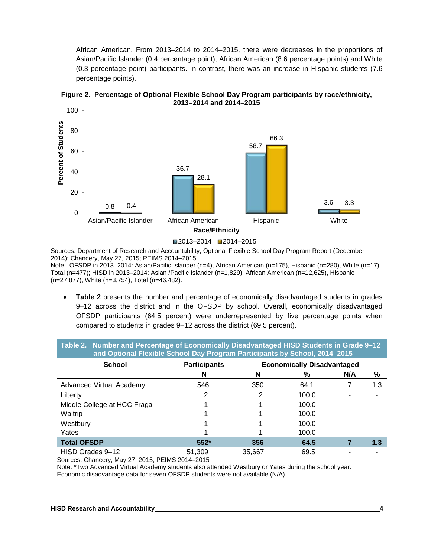African American. From 2013–2014 to 2014–2015, there were decreases in the proportions of Asian/Pacific Islander (0.4 percentage point), African American (8.6 percentage points) and White (0.3 percentage point) participants. In contrast, there was an increase in Hispanic students (7.6 percentage points).



#### **Figure 2. Percentage of Optional Flexible School Day Program participants by race/ethnicity, 2013–2014 and 2014–2015**

Sources: Department of Research and Accountability, Optional Flexible School Day Program Report (December 2014); Chancery, May 27, 2015; PEIMS 2014–2015. Note: OFSDP in 2013–2014: Asian/Pacific Islander (n=4), African American (n=175), Hispanic (n=280), White (n=17), Total (n=477); HISD in 2013–2014: Asian /Pacific Islander (n=1,829), African American (n=12,625), Hispanic (n=27,877), White (n=3,754), Total (n=46,482).

• **Table 2** presents the number and percentage of economically disadvantaged students in grades 9–12 across the district and in the OFSDP by school. Overall, economically disadvantaged OFSDP participants (64.5 percent) were underrepresented by five percentage points when compared to students in grades 9–12 across the district (69.5 percent).

| Table 2. Number and Percentage of Economically Disadvantaged HISD Students in Grade 9-12<br>and Optional Flexible School Day Program Participants by School, 2014-2015 |                                                          |        |       |     |     |  |  |  |  |  |  |
|------------------------------------------------------------------------------------------------------------------------------------------------------------------------|----------------------------------------------------------|--------|-------|-----|-----|--|--|--|--|--|--|
| <b>School</b>                                                                                                                                                          | <b>Economically Disadvantaged</b><br><b>Participants</b> |        |       |     |     |  |  |  |  |  |  |
|                                                                                                                                                                        | N                                                        | N      | %     | N/A | %   |  |  |  |  |  |  |
| <b>Advanced Virtual Academy</b>                                                                                                                                        | 546                                                      | 350    | 64.1  |     | 1.3 |  |  |  |  |  |  |
| Liberty                                                                                                                                                                | 2                                                        |        | 100.0 |     |     |  |  |  |  |  |  |
| Middle College at HCC Fraga                                                                                                                                            |                                                          |        | 100.0 |     |     |  |  |  |  |  |  |
| Waltrip                                                                                                                                                                |                                                          |        | 100.0 |     |     |  |  |  |  |  |  |
| Westbury                                                                                                                                                               |                                                          |        | 100.0 |     |     |  |  |  |  |  |  |
| Yates                                                                                                                                                                  |                                                          |        | 100.0 | ۰   |     |  |  |  |  |  |  |
| <b>Total OFSDP</b>                                                                                                                                                     | $552*$                                                   | 356    | 64.5  |     | 1.3 |  |  |  |  |  |  |
| HISD Grades 9-12                                                                                                                                                       | 51.309                                                   | 35.667 | 69.5  |     |     |  |  |  |  |  |  |

Sources: Chancery, May 27, 2015; PEIMS 2014–2015

Note: \*Two Advanced Virtual Academy students also attended Westbury or Yates during the school year.

Economic disadvantage data for seven OFSDP students were not available (N/A).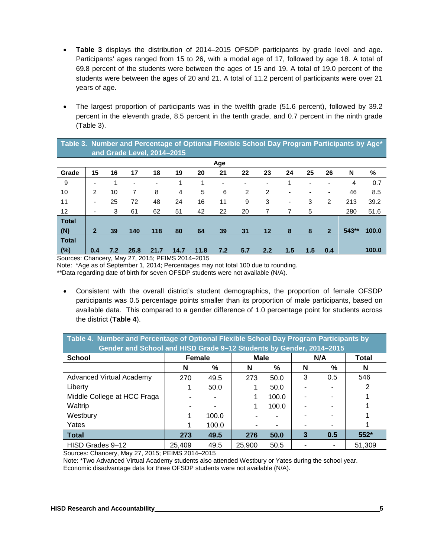- **Table 3** displays the distribution of 2014–2015 OFSDP participants by grade level and age. Participants' ages ranged from 15 to 26, with a modal age of 17, followed by age 18. A total of 69.8 percent of the students were between the ages of 15 and 19. A total of 19.0 percent of the students were between the ages of 20 and 21. A total of 11.2 percent of participants were over 21 years of age.
- The largest proportion of participants was in the twelfth grade (51.6 percent), followed by 39.2 percent in the eleventh grade, 8.5 percent in the tenth grade, and 0.7 percent in the ninth grade (Table 3).

|                   | Table 3. Number and Percentage of Optional Flexible School Day Program Participants by Age* |     |      |                          |                |      |     |                |         |     |     |                |       |       |
|-------------------|---------------------------------------------------------------------------------------------|-----|------|--------------------------|----------------|------|-----|----------------|---------|-----|-----|----------------|-------|-------|
|                   | and Grade Level, 2014-2015                                                                  |     |      |                          |                |      |     |                |         |     |     |                |       |       |
|                   | Age                                                                                         |     |      |                          |                |      |     |                |         |     |     |                |       |       |
| Grade             | 15                                                                                          | 16  | 17   | 18                       | 19             | 20   | 21  | 22             | 23      | 24  | 25  | 26             | N     | %     |
| 9                 | -                                                                                           |     | ٠    | $\overline{\phantom{a}}$ | 1              |      |     |                |         |     |     | ۰              | 4     | 0.7   |
| 10                | $\overline{2}$                                                                              | 10  | 7    | 8                        | $\overline{4}$ | 5    | 6   | $\overline{2}$ | 2       |     |     |                | 46    | 8.5   |
| 11                | ٠                                                                                           | 25  | 72   | 48                       | 24             | 16   | 11  | 9              | 3       | ٠   | 3   | 2              | 213   | 39.2  |
| $12 \overline{ }$ | ٠                                                                                           | 3   | 61   | 62                       | 51             | 42   | 22  | 20             | 7       | 7   | 5   |                | 280   | 51.6  |
| <b>Total</b>      |                                                                                             |     |      |                          |                |      |     |                |         |     |     |                |       |       |
| (N)               | $\overline{2}$                                                                              | 39  | 140  | 118                      | 80             | 64   | 39  | 31             | $12 \,$ | 8   | 8   | $\overline{2}$ | 543** | 100.0 |
| <b>Total</b>      |                                                                                             |     |      |                          |                |      |     |                |         |     |     |                |       |       |
| (%)               | 0.4                                                                                         | 7.2 | 25.8 | 21.7                     | 14.7           | 11.8 | 7.2 | 5.7            | 2.2     | 1.5 | 1.5 | 0.4            |       | 100.0 |

Sources: Chancery, May 27, 2015; PEIMS 2014–2015

Note: \*Age as of September 1, 2014; Percentages may not total 100 due to rounding.

\*\*Data regarding date of birth for seven OFSDP students were not available (N/A).

• Consistent with the overall district's student demographics, the proportion of female OFSDP participants was 0.5 percentage points smaller than its proportion of male participants, based on available data. This compared to a gender difference of 1.0 percentage point for students across the district (**Table 4**).

| Table 4. Number and Percentage of Optional Flexible School Day Program Participants by<br>Gender and School and HISD Grade 9-12 Students by Gender, 2014-2015 |               |       |        |       |     |     |        |  |  |  |
|---------------------------------------------------------------------------------------------------------------------------------------------------------------|---------------|-------|--------|-------|-----|-----|--------|--|--|--|
| <b>School</b>                                                                                                                                                 | <b>Female</b> |       | Male   |       | N/A |     | Total  |  |  |  |
|                                                                                                                                                               | N             | %     | N      | %     | N   | %   | N      |  |  |  |
| <b>Advanced Virtual Academy</b>                                                                                                                               | 270           | 49.5  | 273    | 50.0  | 3   | 0.5 | 546    |  |  |  |
| Liberty                                                                                                                                                       |               | 50.0  |        | 50.0  |     |     | 2      |  |  |  |
| Middle College at HCC Fraga                                                                                                                                   |               |       |        | 100.0 |     |     |        |  |  |  |
| Waltrip                                                                                                                                                       |               |       |        | 100.0 |     |     |        |  |  |  |
| Westbury                                                                                                                                                      |               | 100.0 |        |       |     |     |        |  |  |  |
| Yates                                                                                                                                                         |               | 100.0 |        |       |     |     |        |  |  |  |
| <b>Total</b>                                                                                                                                                  | 273           | 49.5  | 276    | 50.0  | 3   | 0.5 | $552*$ |  |  |  |
| HISD Grades 9-12                                                                                                                                              | 25.409        | 49.5  | 25,900 | 50.5  |     |     | 51.309 |  |  |  |

Sources: Chancery, May 27, 2015; PEIMS 2014–2015

Note: \*Two Advanced Virtual Academy students also attended Westbury or Yates during the school year. Economic disadvantage data for three OFSDP students were not available (N/A).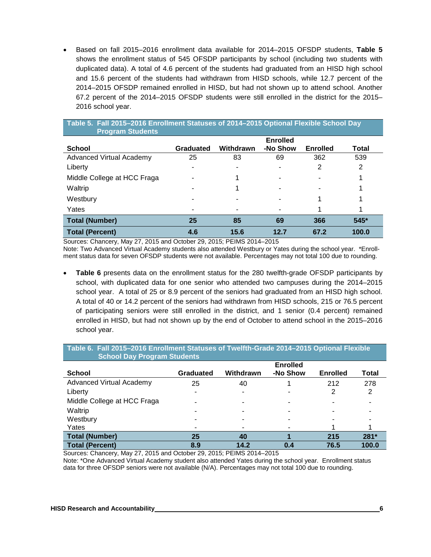• Based on fall 2015–2016 enrollment data available for 2014–2015 OFSDP students, **Table 5** shows the enrollment status of 545 OFSDP participants by school (including two students with duplicated data). A total of 4.6 percent of the students had graduated from an HISD high school and 15.6 percent of the students had withdrawn from HISD schools, while 12.7 percent of the 2014–2015 OFSDP remained enrolled in HISD, but had not shown up to attend school. Another 67.2 percent of the 2014–2015 OFSDP students were still enrolled in the district for the 2015– 2016 school year.

| Table 5. Fall 2015-2016 Enrollment Statuses of 2014-2015 Optional Flexible School Day<br><b>Program Students</b> |           |           |                 |                 |        |  |  |  |  |  |
|------------------------------------------------------------------------------------------------------------------|-----------|-----------|-----------------|-----------------|--------|--|--|--|--|--|
|                                                                                                                  |           |           | <b>Enrolled</b> |                 |        |  |  |  |  |  |
| <b>School</b>                                                                                                    | Graduated | Withdrawn | -No Show        | <b>Enrolled</b> | Total  |  |  |  |  |  |
| <b>Advanced Virtual Academy</b>                                                                                  | 25        | 83        | 69              | 362             | 539    |  |  |  |  |  |
| Liberty                                                                                                          |           |           |                 | 2               | 2      |  |  |  |  |  |
| Middle College at HCC Fraga                                                                                      |           |           |                 |                 |        |  |  |  |  |  |
| Waltrip                                                                                                          |           |           |                 |                 |        |  |  |  |  |  |
| Westbury                                                                                                         |           |           |                 |                 |        |  |  |  |  |  |
| Yates                                                                                                            |           |           |                 |                 |        |  |  |  |  |  |
| <b>Total (Number)</b>                                                                                            | 25        | 85        | 69              | 366             | $545*$ |  |  |  |  |  |
| <b>Total (Percent)</b>                                                                                           | 4.6       | 15.6      | 12.7            | 67.2            | 100.0  |  |  |  |  |  |

Sources: Chancery, May 27, 2015 and October 29, 2015; PEIMS 2014–2015 Note: Two Advanced Virtual Academy students also attended Westbury or Yates during the school year. \*Enrollment status data for seven OFSDP students were not available. Percentages may not total 100 due to rounding.

• **Table 6** presents data on the enrollment status for the 280 twelfth-grade OFSDP participants by school, with duplicated data for one senior who attended two campuses during the 2014–2015 school year. A total of 25 or 8.9 percent of the seniors had graduated from an HISD high school. A total of 40 or 14.2 percent of the seniors had withdrawn from HISD schools, 215 or 76.5 percent of participating seniors were still enrolled in the district, and 1 senior (0.4 percent) remained enrolled in HISD, but had not shown up by the end of October to attend school in the 2015–2016 school year.

| Table 6. Fall 2015-2016 Enrollment Statuses of Twelfth-Grade 2014-2015 Optional Flexible |  |
|------------------------------------------------------------------------------------------|--|
| <b>School Day Program Students</b>                                                       |  |

|                                 |           |           | <b>Enrolled</b> |                 |              |
|---------------------------------|-----------|-----------|-----------------|-----------------|--------------|
| <b>School</b>                   | Graduated | Withdrawn | -No Show        | <b>Enrolled</b> | <b>Total</b> |
| <b>Advanced Virtual Academy</b> | 25        | 40        |                 | 212             | 278          |
| Liberty                         | ۰         |           |                 |                 | 2            |
| Middle College at HCC Fraga     | -         |           | -               | -               |              |
| Waltrip                         |           |           |                 |                 |              |
| Westbury                        | ۰         |           |                 |                 |              |
| Yates                           | ۰         |           | -               |                 |              |
| <b>Total (Number)</b>           | 25        | 40        |                 | 215             | $281*$       |
| <b>Total (Percent)</b>          | 8.9       | 14.2      | 0.4             | 76.5            | 100.0        |

Sources: Chancery, May 27, 2015 and October 29, 2015; PEIMS 2014–2015

Note: \*One Advanced Virtual Academy student also attended Yates during the school year. Enrollment status data for three OFSDP seniors were not available (N/A). Percentages may not total 100 due to rounding.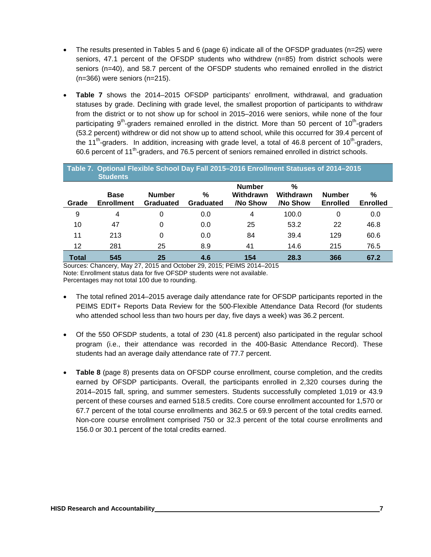- The results presented in Tables 5 and 6 (page 6) indicate all of the OFSDP graduates (n=25) were seniors, 47.1 percent of the OFSDP students who withdrew (n=85) from district schools were seniors (n=40), and 58.7 percent of the OFSDP students who remained enrolled in the district (n=366) were seniors (n=215).
- **Table 7** shows the 2014–2015 OFSDP participants' enrollment, withdrawal, and graduation statuses by grade. Declining with grade level, the smallest proportion of participants to withdraw from the district or to not show up for school in 2015–2016 were seniors, while none of the four participating  $9<sup>th</sup>$ -graders remained enrolled in the district. More than 50 percent of 10<sup>th</sup>-graders (53.2 percent) withdrew or did not show up to attend school, while this occurred for 39.4 percent of the 11<sup>th</sup>-graders. In addition, increasing with grade level, a total of 46.8 percent of 10<sup>th</sup>-graders, 60.6 percent of 11th-graders, and 76.5 percent of seniors remained enrolled in district schools.

| Table 7. Optional Flexible School Day Fall 2015-2016 Enrollment Statuses of 2014-2015<br><b>Students</b> |                                  |                                   |                       |                                        |                               |                                  |                      |  |  |  |  |
|----------------------------------------------------------------------------------------------------------|----------------------------------|-----------------------------------|-----------------------|----------------------------------------|-------------------------------|----------------------------------|----------------------|--|--|--|--|
| Grade                                                                                                    | <b>Base</b><br><b>Enrollment</b> | <b>Number</b><br><b>Graduated</b> | %<br><b>Graduated</b> | <b>Number</b><br>Withdrawn<br>/No Show | $\%$<br>Withdrawn<br>/No Show | <b>Number</b><br><b>Enrolled</b> | %<br><b>Enrolled</b> |  |  |  |  |
| 9                                                                                                        | 4                                | 0                                 | 0.0                   | 4                                      | 100.0                         | 0                                | 0.0                  |  |  |  |  |
| 10                                                                                                       | 47                               | 0                                 | 0.0                   | 25                                     | 53.2                          | 22                               | 46.8                 |  |  |  |  |
| 11                                                                                                       | 213                              | 0                                 | 0.0                   | 84                                     | 39.4                          | 129                              | 60.6                 |  |  |  |  |
| 12                                                                                                       | 281                              | 25                                | 8.9                   | 41                                     | 14.6                          | 215                              | 76.5                 |  |  |  |  |
| <b>Total</b>                                                                                             | 545                              | 25                                | 4.6                   | 154                                    | 28.3                          | 366                              | 67.2                 |  |  |  |  |

Sources: Chancery, May 27, 2015 and October 29, 2015; PEIMS 2014–2015 Note: Enrollment status data for five OFSDP students were not available. Percentages may not total 100 due to rounding.

- The total refined 2014–2015 average daily attendance rate for OFSDP participants reported in the PEIMS EDIT+ Reports Data Review for the 500-Flexible Attendance Data Record (for students who attended school less than two hours per day, five days a week) was 36.2 percent.
- Of the 550 OFSDP students, a total of 230 (41.8 percent) also participated in the regular school program (i.e., their attendance was recorded in the 400-Basic Attendance Record). These students had an average daily attendance rate of 77.7 percent.
- **Table 8** (page 8) presents data on OFSDP course enrollment, course completion, and the credits earned by OFSDP participants. Overall, the participants enrolled in 2,320 courses during the 2014–2015 fall, spring, and summer semesters. Students successfully completed 1,019 or 43.9 percent of these courses and earned 518.5 credits. Core course enrollment accounted for 1,570 or 67.7 percent of the total course enrollments and 362.5 or 69.9 percent of the total credits earned. Non-core course enrollment comprised 750 or 32.3 percent of the total course enrollments and 156.0 or 30.1 percent of the total credits earned.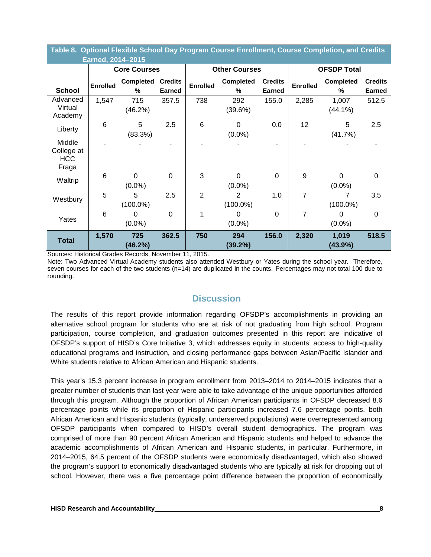| Table 0. Optional Flexible School Day Flogram Course Enformant, Course Completion, and Credits<br>Earned, 2014-2015 |                     |                             |                                 |                                         |                       |                                 |                 |                       |                                 |  |  |
|---------------------------------------------------------------------------------------------------------------------|---------------------|-----------------------------|---------------------------------|-----------------------------------------|-----------------------|---------------------------------|-----------------|-----------------------|---------------------------------|--|--|
|                                                                                                                     | <b>Core Courses</b> |                             |                                 |                                         | <b>Other Courses</b>  |                                 |                 | <b>OFSDP Total</b>    |                                 |  |  |
| <b>School</b>                                                                                                       | <b>Enrolled</b>     | Completed<br>%              | <b>Credits</b><br><b>Earned</b> | <b>Enrolled</b>                         | <b>Completed</b><br>% | <b>Credits</b><br><b>Earned</b> | <b>Enrolled</b> | <b>Completed</b><br>% | <b>Credits</b><br><b>Earned</b> |  |  |
| Advanced<br>Virtual<br>Academy                                                                                      | 1,547               | 715<br>(46.2%)              | 357.5                           | 738                                     | 292<br>(39.6%)        | 155.0                           | 2,285           | 1,007<br>$(44.1\%)$   | 512.5                           |  |  |
| Liberty                                                                                                             | 6                   | 5<br>(83.3%)                | 2.5                             | 6                                       | $\Omega$<br>$(0.0\%)$ | 0.0                             | 12              | 5<br>(41.7%)          | 2.5                             |  |  |
| Middle<br>College at<br><b>HCC</b><br>Fraga                                                                         |                     |                             |                                 |                                         |                       |                                 |                 |                       |                                 |  |  |
| Waltrip                                                                                                             | 6                   | $\overline{0}$<br>$(0.0\%)$ | $\overline{0}$                  | 3                                       | $\Omega$<br>$(0.0\%)$ | $\mathbf 0$                     | 9               | $\Omega$<br>$(0.0\%)$ | $\mathbf 0$                     |  |  |
| Westbury                                                                                                            | 5                   | 5<br>$(100.0\%)$            | 2.5                             | $\overline{2}$                          | 2<br>$(100.0\%)$      | 1.0                             | $\overline{7}$  | 7<br>$(100.0\%)$      | 3.5                             |  |  |
| Yates                                                                                                               | 6                   | 0<br>$(0.0\%)$              | $\mathbf 0$                     | 1                                       | 0<br>$(0.0\%)$        | $\Omega$                        | 7               | $\Omega$<br>$(0.0\%)$ | $\Omega$                        |  |  |
| <b>Total</b><br>$\mathbf{r}$ and $\mathbf{r}$                                                                       | 1,570               | 725<br>(46.2%)              | 362.5                           | 750<br>$\overline{11}$ $\overline{001}$ | 294<br>(39.2%)        | 156.0                           | 2,320           | 1,019<br>(43.9%)      | 518.5                           |  |  |

**Table 8. Optional Flexible School Day Program Course Enrollment, Course Completion, and Credits** 

Sources: Historical Grades Records, November 11, 2015.

Note: Two Advanced Virtual Academy students also attended Westbury or Yates during the school year. Therefore, seven courses for each of the two students (n=14) are duplicated in the counts. Percentages may not total 100 due to rounding.

## **Discussion**

The results of this report provide information regarding OFSDP's accomplishments in providing an alternative school program for students who are at risk of not graduating from high school. Program participation, course completion, and graduation outcomes presented in this report are indicative of OFSDP's support of HISD's Core Initiative 3, which addresses equity in students' access to high-quality educational programs and instruction, and closing performance gaps between Asian/Pacific Islander and White students relative to African American and Hispanic students.

This year's 15.3 percent increase in program enrollment from 2013–2014 to 2014–2015 indicates that a greater number of students than last year were able to take advantage of the unique opportunities afforded through this program. Although the proportion of African American participants in OFSDP decreased 8.6 percentage points while its proportion of Hispanic participants increased 7.6 percentage points, both African American and Hispanic students (typically, underserved populations) were overrepresented among OFSDP participants when compared to HISD's overall student demographics. The program was comprised of more than 90 percent African American and Hispanic students and helped to advance the academic accomplishments of African American and Hispanic students, in particular. Furthermore, in 2014–2015, 64.5 percent of the OFSDP students were economically disadvantaged, which also showed the program's support to economically disadvantaged students who are typically at risk for dropping out of school. However, there was a five percentage point difference between the proportion of economically